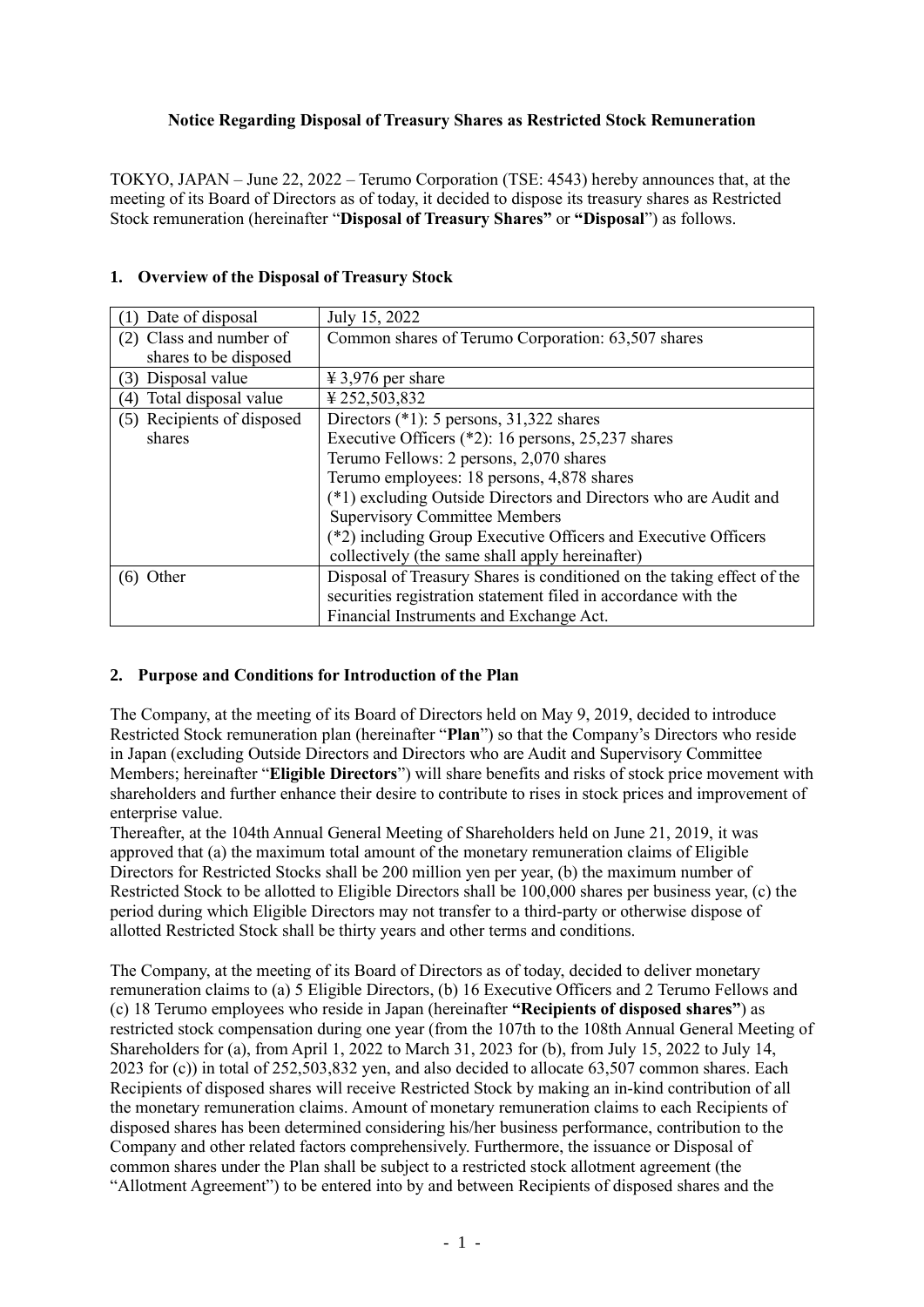## **Notice Regarding Disposal of Treasury Shares as Restricted Stock Remuneration**

TOKYO, JAPAN – June 22, 2022 – Terumo Corporation (TSE: 4543) hereby announces that, at the meeting of its Board of Directors as of today, it decided to dispose its treasury shares as Restricted Stock remuneration (hereinafter "**Disposal of Treasury Shares"** or **"Disposal**") as follows.

| Date of disposal            | July 15, 2022                                                          |
|-----------------------------|------------------------------------------------------------------------|
| (2) Class and number of     | Common shares of Terumo Corporation: 63,507 shares                     |
| shares to be disposed       |                                                                        |
| (3) Disposal value          | $\text{\textsterling} 3,976$ per share                                 |
| Total disposal value<br>(4) | ¥252,503,832                                                           |
| (5) Recipients of disposed  | Directors $(*1)$ : 5 persons, 31,322 shares                            |
| shares                      | Executive Officers $(*2)$ : 16 persons, 25,237 shares                  |
|                             | Terumo Fellows: 2 persons, 2,070 shares                                |
|                             | Terumo employees: 18 persons, 4,878 shares                             |
|                             | (*1) excluding Outside Directors and Directors who are Audit and       |
|                             | <b>Supervisory Committee Members</b>                                   |
|                             | (*2) including Group Executive Officers and Executive Officers         |
|                             | collectively (the same shall apply hereinafter)                        |
| $(6)$ Other                 | Disposal of Treasury Shares is conditioned on the taking effect of the |
|                             | securities registration statement filed in accordance with the         |
|                             | Financial Instruments and Exchange Act.                                |

## **1. Overview of the Disposal of Treasury Stock**

## **2. Purpose and Conditions for Introduction of the Plan**

The Company, at the meeting of its Board of Directors held on May 9, 2019, decided to introduce Restricted Stock remuneration plan (hereinafter "**Plan**") so that the Company's Directors who reside in Japan (excluding Outside Directors and Directors who are Audit and Supervisory Committee Members; hereinafter "**Eligible Directors**") will share benefits and risks of stock price movement with shareholders and further enhance their desire to contribute to rises in stock prices and improvement of enterprise value.

Thereafter, at the 104th Annual General Meeting of Shareholders held on June 21, 2019, it was approved that (a) the maximum total amount of the monetary remuneration claims of Eligible Directors for Restricted Stocks shall be 200 million yen per year, (b) the maximum number of Restricted Stock to be allotted to Eligible Directors shall be 100,000 shares per business year, (c) the period during which Eligible Directors may not transfer to a third-party or otherwise dispose of allotted Restricted Stock shall be thirty years and other terms and conditions.

The Company, at the meeting of its Board of Directors as of today, decided to deliver monetary remuneration claims to (a) 5 Eligible Directors, (b) 16 Executive Officers and 2 Terumo Fellows and (c) 18 Terumo employees who reside in Japan (hereinafter **"Recipients of disposed shares"**) as restricted stock compensation during one year (from the 107th to the 108th Annual General Meeting of Shareholders for (a), from April 1, 2022 to March 31, 2023 for (b), from July 15, 2022 to July 14, 2023 for (c)) in total of 252,503,832 yen, and also decided to allocate 63,507 common shares. Each Recipients of disposed shares will receive Restricted Stock by making an in-kind contribution of all the monetary remuneration claims. Amount of monetary remuneration claims to each Recipients of disposed shares has been determined considering his/her business performance, contribution to the Company and other related factors comprehensively. Furthermore, the issuance or Disposal of common shares under the Plan shall be subject to a restricted stock allotment agreement (the "Allotment Agreement") to be entered into by and between Recipients of disposed shares and the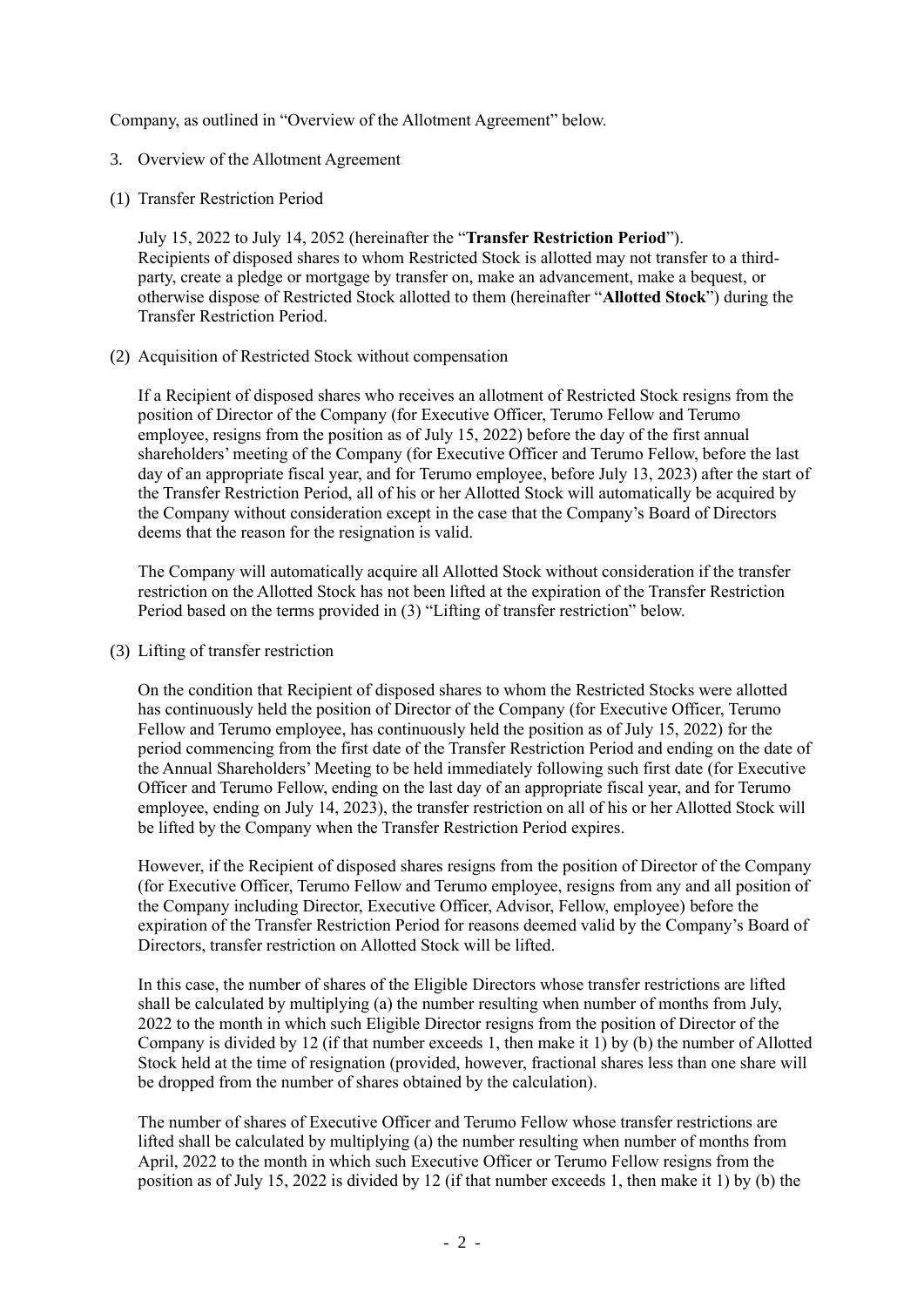Company, as outlined in "Overview of the Allotment Agreement" below.

- 3. Overview of the Allotment Agreement
- (1) Transfer Restriction Period

July 15, 2022 to July 14, 2052 (hereinafter the "**Transfer Restriction Period**"). Recipients of disposed shares to whom Restricted Stock is allotted may not transfer to a thirdparty, create a pledge or mortgage by transfer on, make an advancement, make a bequest, or otherwise dispose of Restricted Stock allotted to them (hereinafter "**Allotted Stock**") during the Transfer Restriction Period.

(2) Acquisition of Restricted Stock without compensation

If a Recipient of disposed shares who receives an allotment of Restricted Stock resigns from the position of Director of the Company (for Executive Officer, Terumo Fellow and Terumo employee, resigns from the position as of July 15, 2022) before the day of the first annual shareholders' meeting of the Company (for Executive Officer and Terumo Fellow, before the last day of an appropriate fiscal year, and for Terumo employee, before July 13, 2023) after the start of the Transfer Restriction Period, all of his or her Allotted Stock will automatically be acquired by the Company without consideration except in the case that the Company's Board of Directors deems that the reason for the resignation is valid.

The Company will automatically acquire all Allotted Stock without consideration if the transfer restriction on the Allotted Stock has not been lifted at the expiration of the Transfer Restriction Period based on the terms provided in (3) "Lifting of transfer restriction" below.

(3) Lifting of transfer restriction

On the condition that Recipient of disposed shares to whom the Restricted Stocks were allotted has continuously held the position of Director of the Company (for Executive Officer, Terumo Fellow and Terumo employee, has continuously held the position as of July 15, 2022) for the period commencing from the first date of the Transfer Restriction Period and ending on the date of the Annual Shareholders' Meeting to be held immediately following such first date (for Executive Officer and Terumo Fellow, ending on the last day of an appropriate fiscal year, and for Terumo employee, ending on July 14, 2023), the transfer restriction on all of his or her Allotted Stock will be lifted by the Company when the Transfer Restriction Period expires.

However, if the Recipient of disposed shares resigns from the position of Director of the Company (for Executive Officer, Terumo Fellow and Terumo employee, resigns from any and all position of the Company including Director, Executive Officer, Advisor, Fellow, employee) before the expiration of the Transfer Restriction Period for reasons deemed valid by the Company's Board of Directors, transfer restriction on Allotted Stock will be lifted.

In this case, the number of shares of the Eligible Directors whose transfer restrictions are lifted shall be calculated by multiplying (a) the number resulting when number of months from July, 2022 to the month in which such Eligible Director resigns from the position of Director of the Company is divided by 12 (if that number exceeds 1, then make it 1) by (b) the number of Allotted Stock held at the time of resignation (provided, however, fractional shares less than one share will be dropped from the number of shares obtained by the calculation).

The number of shares of Executive Officer and Terumo Fellow whose transfer restrictions are lifted shall be calculated by multiplying (a) the number resulting when number of months from April, 2022 to the month in which such Executive Officer or Terumo Fellow resigns from the position as of July 15, 2022 is divided by 12 (if that number exceeds 1, then make it 1) by (b) the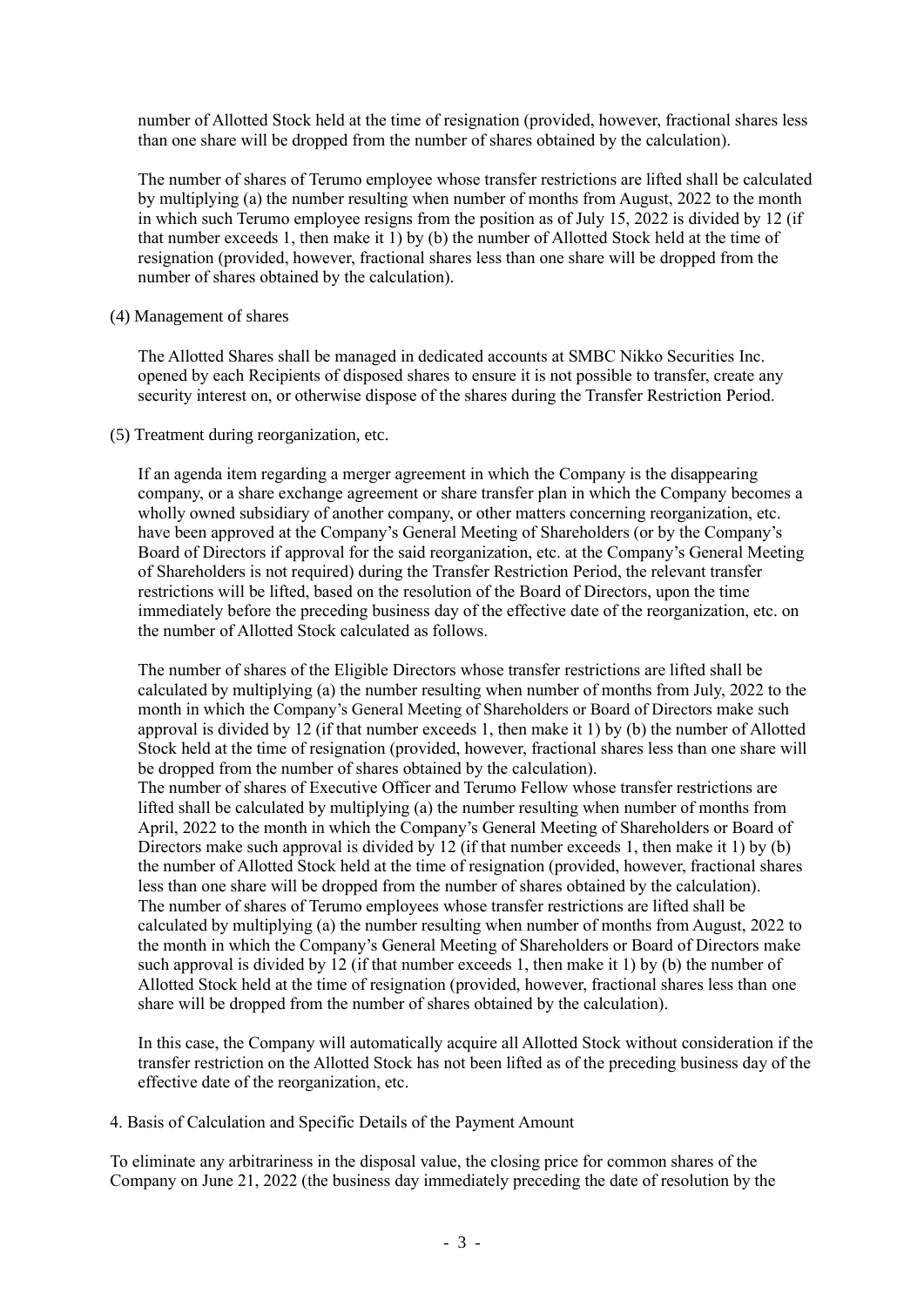number of Allotted Stock held at the time of resignation (provided, however, fractional shares less than one share will be dropped from the number of shares obtained by the calculation).

The number of shares of Terumo employee whose transfer restrictions are lifted shall be calculated by multiplying (a) the number resulting when number of months from August, 2022 to the month in which such Terumo employee resigns from the position as of July 15, 2022 is divided by 12 (if that number exceeds 1, then make it 1) by (b) the number of Allotted Stock held at the time of resignation (provided, however, fractional shares less than one share will be dropped from the number of shares obtained by the calculation).

(4) Management of shares

The Allotted Shares shall be managed in dedicated accounts at SMBC Nikko Securities Inc. opened by each Recipients of disposed shares to ensure it is not possible to transfer, create any security interest on, or otherwise dispose of the shares during the Transfer Restriction Period.

(5) Treatment during reorganization, etc.

If an agenda item regarding a merger agreement in which the Company is the disappearing company, or a share exchange agreement or share transfer plan in which the Company becomes a wholly owned subsidiary of another company, or other matters concerning reorganization, etc. have been approved at the Company's General Meeting of Shareholders (or by the Company's Board of Directors if approval for the said reorganization, etc. at the Company's General Meeting of Shareholders is not required) during the Transfer Restriction Period, the relevant transfer restrictions will be lifted, based on the resolution of the Board of Directors, upon the time immediately before the preceding business day of the effective date of the reorganization, etc. on the number of Allotted Stock calculated as follows.

The number of shares of the Eligible Directors whose transfer restrictions are lifted shall be calculated by multiplying (a) the number resulting when number of months from July, 2022 to the month in which the Company's General Meeting of Shareholders or Board of Directors make such approval is divided by 12 (if that number exceeds 1, then make it 1) by (b) the number of Allotted Stock held at the time of resignation (provided, however, fractional shares less than one share will be dropped from the number of shares obtained by the calculation).

The number of shares of Executive Officer and Terumo Fellow whose transfer restrictions are lifted shall be calculated by multiplying (a) the number resulting when number of months from April, 2022 to the month in which the Company's General Meeting of Shareholders or Board of Directors make such approval is divided by 12 (if that number exceeds 1, then make it 1) by (b) the number of Allotted Stock held at the time of resignation (provided, however, fractional shares less than one share will be dropped from the number of shares obtained by the calculation). The number of shares of Terumo employees whose transfer restrictions are lifted shall be calculated by multiplying (a) the number resulting when number of months from August, 2022 to the month in which the Company's General Meeting of Shareholders or Board of Directors make such approval is divided by 12 (if that number exceeds 1, then make it 1) by (b) the number of Allotted Stock held at the time of resignation (provided, however, fractional shares less than one share will be dropped from the number of shares obtained by the calculation).

In this case, the Company will automatically acquire all Allotted Stock without consideration if the transfer restriction on the Allotted Stock has not been lifted as of the preceding business day of the effective date of the reorganization, etc.

4. Basis of Calculation and Specific Details of the Payment Amount

To eliminate any arbitrariness in the disposal value, the closing price for common shares of the Company on June 21, 2022 (the business day immediately preceding the date of resolution by the